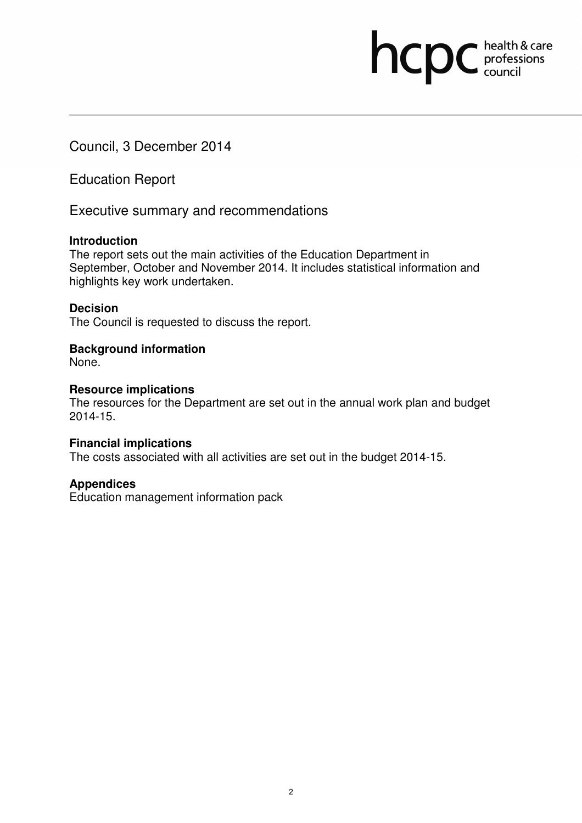Council, 3 December 2014

Education Report

Executive summary and recommendations

## **Introduction**

The report sets out the main activities of the Education Department in September, October and November 2014. It includes statistical information and highlights key work undertaken.

hcpc health & care

## **Decision**

The Council is requested to discuss the report.

## **Background information**

None.

## **Resource implications**

The resources for the Department are set out in the annual work plan and budget 2014-15.

## **Financial implications**

The costs associated with all activities are set out in the budget 2014-15.

## **Appendices**

Education management information pack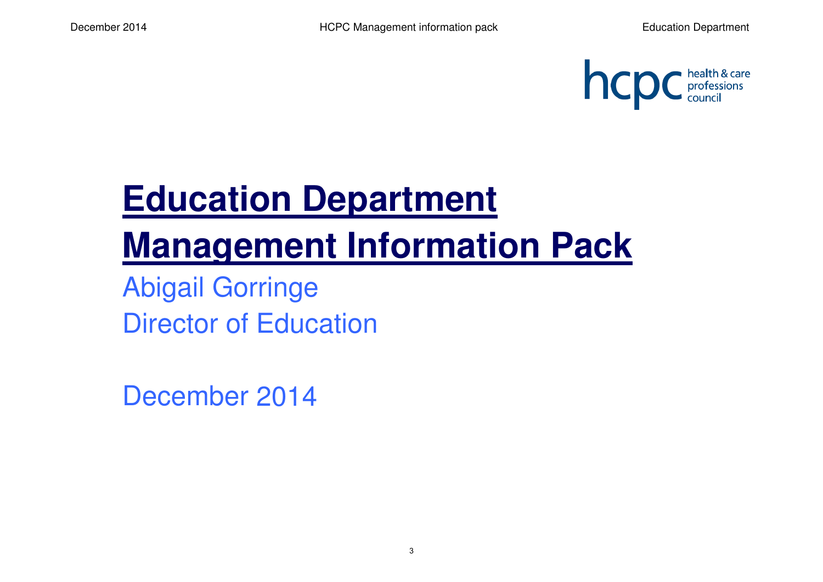

# **Education Department Management Information Pack**

Abigail GorringeDirector of Education

December 2014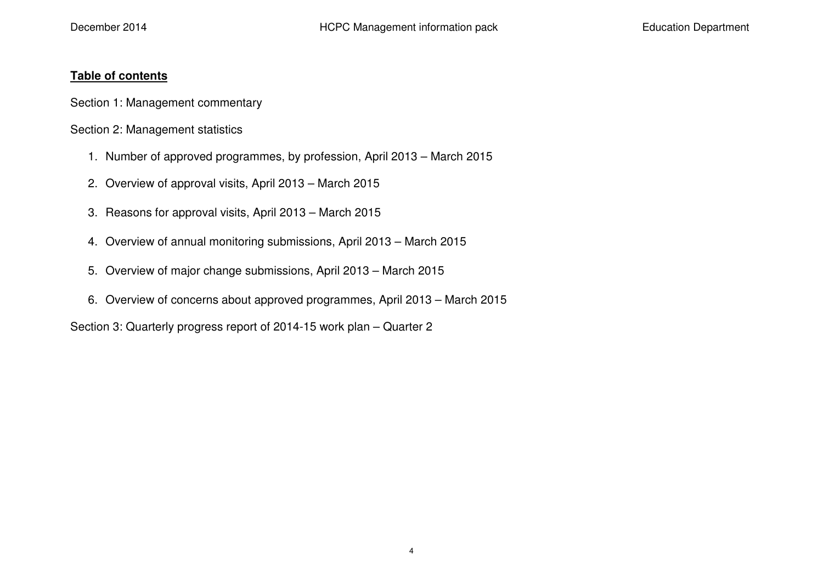### **Table of contents**

Section 1: Management commentary

Section 2: Management statistics

- 1. Number of approved programmes, by profession, April 2013 March 2015
- 2. Overview of approval visits, April 2013 March 2015
- 3. Reasons for approval visits, April 2013 March 2015
- 4. Overview of annual monitoring submissions, April 2013 March 2015
- 5. Overview of major change submissions, April 2013 March 2015
- 6. Overview of concerns about approved programmes, April 2013 March 2015

Section 3: Quarterly progress report of 2014-15 work plan – Quarter 2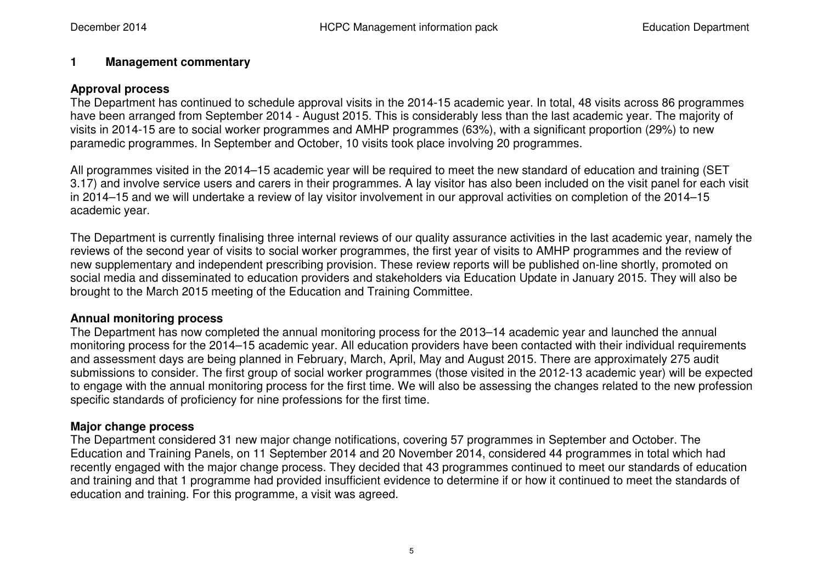#### **1Management commentary**

#### **Approval process**

 The Department has continued to schedule approval visits in the 2014-15 academic year. In total, 48 visits across 86 programmes have been arranged from September 2014 - August 2015. This is considerably less than the last academic year. The majority of visits in 2014-15 are to social worker programmes and AMHP programmes (63%), with a significant proportion (29%) to new paramedic programmes. In September and October, 10 visits took place involving 20 programmes.

All programmes visited in the 2014–15 academic year will be required to meet the new standard of education and training (SET 3.17) and involve service users and carers in their programmes. A lay visitor has also been included on the visit panel for each visit in 2014–15 and we will undertake a review of lay visitor involvement in our approval activities on completion of the 2014–15 academic year.

The Department is currently finalising three internal reviews of our quality assurance activities in the last academic year, namely the reviews of the second year of visits to social worker programmes, the first year of visits to AMHP programmes and the review of new supplementary and independent prescribing provision. These review reports will be published on-line shortly, promoted on social media and disseminated to education providers and stakeholders via Education Update in January 2015. They will also be brought to the March 2015 meeting of the Education and Training Committee.

## **Annual monitoring process**

 The Department has now completed the annual monitoring process for the 2013–14 academic year and launched the annual monitoring process for the 2014–15 academic year. All education providers have been contacted with their individual requirements and assessment days are being planned in February, March, April, May and August 2015. There are approximately 275 audit submissions to consider. The first group of social worker programmes (those visited in the 2012-13 academic year) will be expected to engage with the annual monitoring process for the first time. We will also be assessing the changes related to the new profession specific standards of proficiency for nine professions for the first time.

#### **Major change process**

 The Department considered 31 new major change notifications, covering 57 programmes in September and October. The Education and Training Panels, on 11 September 2014 and 20 November 2014, considered 44 programmes in total which had recently engaged with the major change process. They decided that 43 programmes continued to meet our standards of education and training and that 1 programme had provided insufficient evidence to determine if or how it continued to meet the standards of education and training. For this programme, a visit was agreed.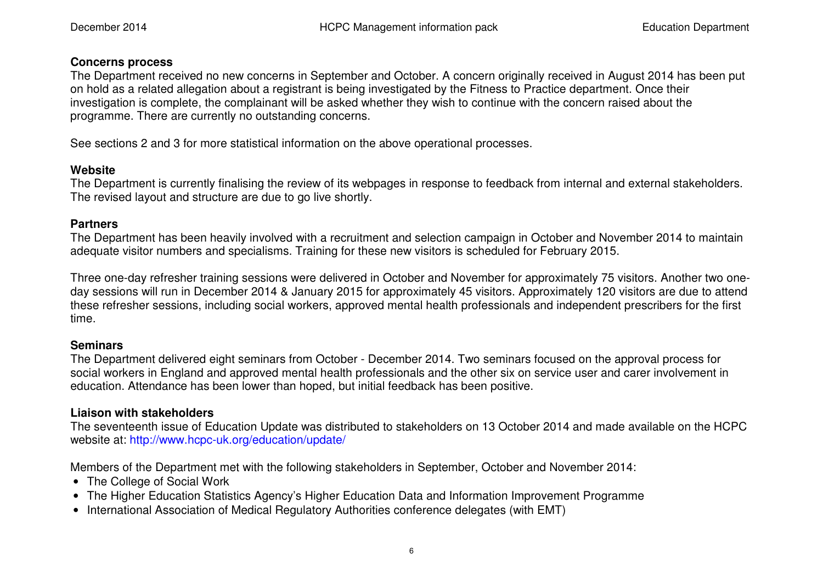#### **Concerns process**

 The Department received no new concerns in September and October. A concern originally received in August 2014 has been put on hold as a related allegation about a registrant is being investigated by the Fitness to Practice department. Once their investigation is complete, the complainant will be asked whether they wish to continue with the concern raised about the programme. There are currently no outstanding concerns.

See sections 2 and 3 for more statistical information on the above operational processes.

## **Website**

 The Department is currently finalising the review of its webpages in response to feedback from internal and external stakeholders. The revised layout and structure are due to go live shortly.

## **Partners**

 The Department has been heavily involved with a recruitment and selection campaign in October and November 2014 to maintain adequate visitor numbers and specialisms. Training for these new visitors is scheduled for February 2015.

Three one-day refresher training sessions were delivered in October and November for approximately 75 visitors. Another two oneday sessions will run in December 2014 & January 2015 for approximately 45 visitors. Approximately 120 visitors are due to attend these refresher sessions, including social workers, approved mental health professionals and independent prescribers for the first time.

## **Seminars**

 The Department delivered eight seminars from October - December 2014. Two seminars focused on the approval process for social workers in England and approved mental health professionals and the other six on service user and carer involvement in education. Attendance has been lower than hoped, but initial feedback has been positive.

## **Liaison with stakeholders**

 The seventeenth issue of Education Update was distributed to stakeholders on 13 October 2014 and made available on the HCPC website at: http://www.hcpc-uk.org/education/update/

Members of the Department met with the following stakeholders in September, October and November 2014:

- The College of Social Work
- The Higher Education Statistics Agency's Higher Education Data and Information Improvement Programme
- International Association of Medical Regulatory Authorities conference delegates (with EMT)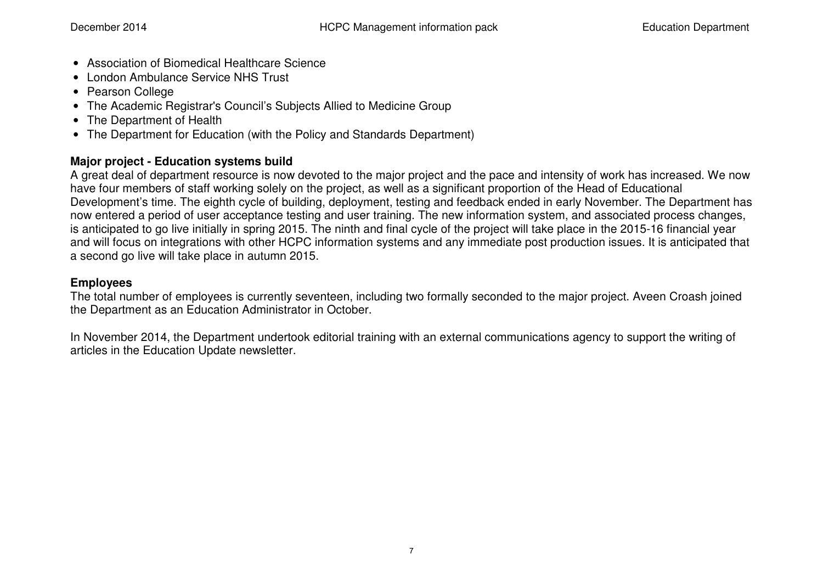- Association of Biomedical Healthcare Science
- London Ambulance Service NHS Trust
- Pearson College
- The Academic Registrar's Council's Subjects Allied to Medicine Group
- The Department of Health
- The Department for Education (with the Policy and Standards Department)

## **Major project - Education systems build**

 A great deal of department resource is now devoted to the major project and the pace and intensity of work has increased. We now have four members of staff working solely on the project, as well as a significant proportion of the Head of Educational Development's time. The eighth cycle of building, deployment, testing and feedback ended in early November. The Department has now entered a period of user acceptance testing and user training. The new information system, and associated process changes, is anticipated to go live initially in spring 2015. The ninth and final cycle of the project will take place in the 2015-16 financial year and will focus on integrations with other HCPC information systems and any immediate post production issues. It is anticipated that a second go live will take place in autumn 2015.

## **Employees**

 The total number of employees is currently seventeen, including two formally seconded to the major project. Aveen Croash joined the Department as an Education Administrator in October.

In November 2014, the Department undertook editorial training with an external communications agency to support the writing of articles in the Education Update newsletter.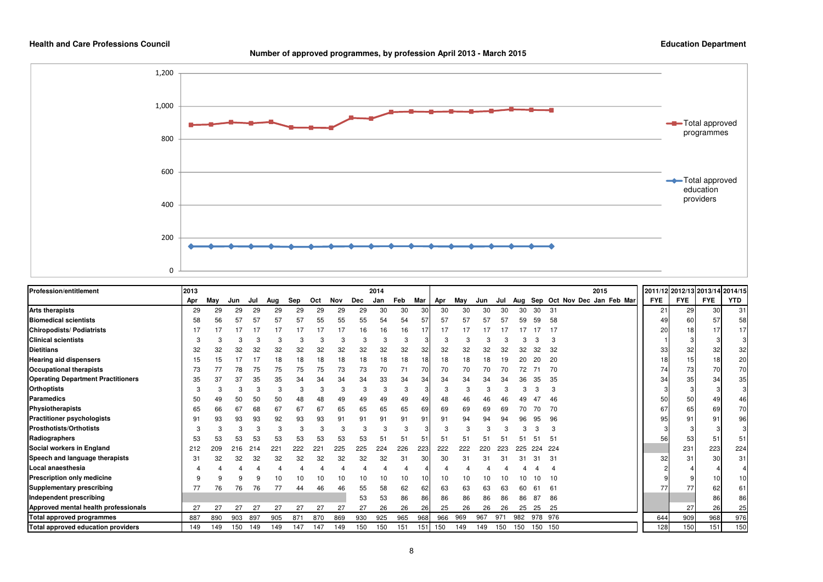



| <b>Profession/entitlement</b>             | 2013 |     |     |                      |     |            |              |     |     | 2014 |     |     |     |     |     |     |     |         | 2015                        | 2011/12 2012/13 2013/14 2014/15 |            |            |            |
|-------------------------------------------|------|-----|-----|----------------------|-----|------------|--------------|-----|-----|------|-----|-----|-----|-----|-----|-----|-----|---------|-----------------------------|---------------------------------|------------|------------|------------|
|                                           | Apr  | May | Jun | Jul                  | Aug | <b>Sep</b> | Oct          | Nov | Dec | Jan  | Feb | Mar | Apr | May | Jun | Jul | Aug |         | Sep Oct Nov Dec Jan Feb Mar | <b>FYE</b>                      | <b>FYE</b> | <b>FYE</b> | <b>YTD</b> |
| <b>Arts therapists</b>                    | 29   | 29  | 29  | 29                   | 29  | 29         | 29           | 29  | 29  | 30   | 30  | 30  | 30  | 30  | 30  | 30  | 30  | 30      | 31                          | 21                              | 29         | 30         | 31         |
| <b>Biomedical scientists</b>              | 58   |     |     | 57                   | 57  | 57         | 55           | 55  | 55  | 54   | 54  | 57  | 57  | 57  | 57  |     | 59  | 59      | 58                          |                                 | 60         | 57         | 58         |
| <b>Chiropodists/Podiatrists</b>           |      |     |     |                      |     |            |              | 17  | 16  | 16   | 16  | 17  |     |     |     |     |     |         |                             | 20                              | 18         | 17         | 17         |
| <b>Clinical scientists</b>                |      |     |     |                      |     |            | З            |     |     | 3    |     |     |     |     |     |     |     |         |                             |                                 |            |            |            |
| <b>Dietitians</b>                         | 32   | 32  | 32  | 32                   | 32  | 32         | 32           | 32  | 32  | 32   | 32  | 32  | 32  | 32  | 32  | 32  | 32  | 32      | 32                          | 33                              | 32         | 32         | 32         |
| <b>Hearing aid dispensers</b>             | 15   |     |     |                      | 18  | 18         | 18           | 18  | 18  | 18   | 18  | 18  | 18  | 18  | 18  | 19  |     | 20      | 20                          | 18                              | 15         | 18         | 20         |
| <b>Occupational therapists</b>            | 73   |     | 78  | 75                   | 75  | 75         | 75           | 73  | 73  | 70   | 71  | 70  | 70  | 70  | 70  | 70  | 72  |         | 70                          |                                 | 73         | 70         | 70         |
| <b>Operating Department Practitioners</b> | 35   | 37  | 37  | 35                   | 35  | 34         | 34           | 34  | 34  | 33   | 34  | 34  | 34  | 34  | 34  |     |     | 35      | 35                          | 34                              | 35         | 34         | 35         |
| <b>Orthoptists</b>                        |      |     | 3   |                      |     |            |              |     |     | 3    | 3   |     |     | 3   |     |     |     |         |                             |                                 |            |            | 3          |
| Paramedics                                | 50   |     |     | 50                   | 50  | 48         | 48           | 49  | 49  | 49   | 49  | 49  | 48  | 46  | 46  |     |     | 47      | 46                          | 50                              | 50         | 49         | 46         |
| Physiotherapists                          | 65   | 66  | 67  | 68                   | 67  | 67         | 67           | 65  | 65  | 65   | 65  | 69  | 69  | 69  | 69  | 69  |     |         | 70                          | 67                              | 65         | 69         | 70         |
| <b>Practitioner psychologists</b>         | 91   | 93  | 93  | 93                   | 92  | 93         | 93           | 91  | 91  | 91   | 91  | 91  | 91  | 94  | 94  | 94  |     | 95      | 96                          | 95                              | 91         | 91         | 96         |
| <b>Prosthotists/Orthotists</b>            |      |     |     |                      | 3   |            | 3            |     |     | 3    | 3   |     |     |     |     |     |     |         |                             |                                 |            |            |            |
| Radiographers                             | 53   | 53  | 53  | 53                   | 53  | 53         | 53           | 53  | 53  | 51   | 51  | 51  | 51  | 51  | 51  |     | Б.  | 5       | 51                          | 56                              | 53         | 51         | 51         |
| Social workers in England                 | 212  | 209 | 216 |                      | 221 |            | $22^{\circ}$ | 225 | 225 | 224  | 226 | 223 | 222 | 222 | 220 |     |     |         | 224                         |                                 | 231        | 223        | 224        |
| Speech and language therapists            | 31   | 32  | 32  | 32                   | 32  | 32         | 32           | 32  | 32  | 32   | 31  | 30  | 30  | 31  |     |     |     | 3       | 31                          | 32                              | 31         | 30         | 31         |
| Local anaesthesia                         |      |     |     |                      |     |            |              |     |     |      |     |     |     |     |     |     |     |         |                             |                                 |            |            |            |
| Prescription only medicine                |      |     |     |                      |     |            |              |     |     | 10   | 10  | 10  | 10  | 10  |     |     |     |         |                             |                                 |            |            | 10         |
| Supplementary prescribing                 | 77   | 76  | 76  | 76                   | 77  |            | 46           |     | 55  | 58   | 62  | 62  | 63  | 63  | 63  | 63  |     | 6       | 61                          |                                 | 77         | 62         | 61         |
| Independent prescribing                   |      |     |     |                      |     |            |              |     | 53  | 53   | 86  | 86  | 86  | 86  | 86  | 86  | 86  | 87      | 86                          |                                 |            | 86         | 86         |
| Approved mental health professionals      | 27   | 27  | 27  | $\mathbf{2}^{\circ}$ |     | 27         | 27           | 27  | 27  | 26   | 26  | 26  | 25  | 26  | 26  | 26  | 25  | 25      | 25                          |                                 | 27         | 26         | 25         |
| <b>Total approved programmes</b>          | 887  | 890 | 903 | 897                  | 905 | 871        | 870          | 869 | 930 | 925  | 965 | 968 | 966 | 969 | 967 | 971 | 982 | 978 976 |                             | 644                             | 909        | 968        | 976        |
| Total approved education providers        | 149  | 149 | 150 | 149                  | 149 | 147        | 147          | 149 | 150 | 150  | 151 | 151 | 150 | 149 | 149 | 150 | 150 | 150 150 |                             | 128                             | 150        | 151        | 150        |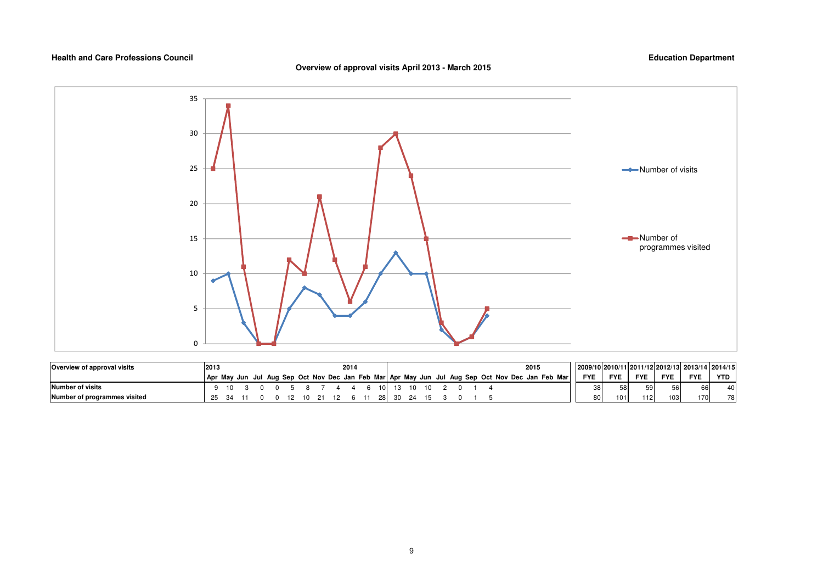#### **Overview of approval visits April 2013 - March 2015**



| Overview of approval visits  | 2013 |    |  |  |    |  | 2014 |      |       |  |  |  | 2015                                                                                            | 2009/10 2010/11 2011/12 2012/13 2013/14 2014/15 |            |            |                  |            |            |
|------------------------------|------|----|--|--|----|--|------|------|-------|--|--|--|-------------------------------------------------------------------------------------------------|-------------------------------------------------|------------|------------|------------------|------------|------------|
|                              |      |    |  |  |    |  |      |      |       |  |  |  | Apr May Jun Jul Aug Sep Oct Nov Dec Jan Feb Mar Apr May Jun Jul Aug Sep Oct Nov Dec Jan Feb Mar | <b>FYE</b>                                      | <b>FYE</b> | <b>FYE</b> | <b>FYE</b>       | <b>FYE</b> | <b>YTD</b> |
| Number of visits             |      | 10 |  |  |    |  |      | 10 I |       |  |  |  |                                                                                                 | 2۵                                              | 58'        | 59         |                  |            | 40         |
| Number of programmes visited | 25   |    |  |  | 10 |  |      | -281 | 30 24 |  |  |  |                                                                                                 |                                                 | 101        | 112        | 103 <sub>1</sub> | 170        | 78         |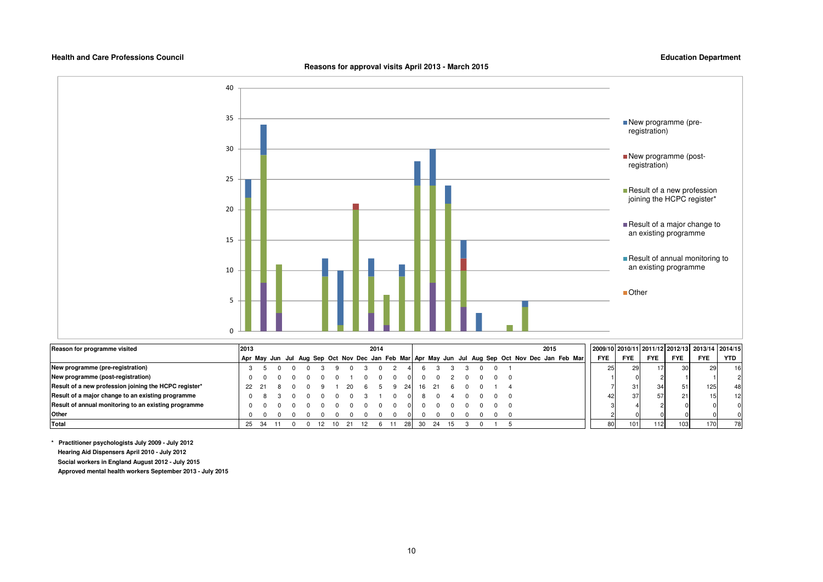**Reasons for approval visits April 2013 - March 2015**

**Education Department**



| Reason for programme visited                          | 2013 |      |  |     |     | 2014 |     |    |    |  |  | 2015 |                                                                                                 |            |                 |            |                  | 2009/10 2010/11 2011/12 2012/13 2013/14 2014/15 |            |
|-------------------------------------------------------|------|------|--|-----|-----|------|-----|----|----|--|--|------|-------------------------------------------------------------------------------------------------|------------|-----------------|------------|------------------|-------------------------------------------------|------------|
|                                                       |      |      |  |     |     |      |     |    |    |  |  |      | Apr May Jun Jul Aug Sep Oct Nov Dec Jan Feb Mar Apr May Jun Jul Aug Sep Oct Nov Dec Jan Feb Mar | <b>FYE</b> | <b>FYE</b>      | <b>FYE</b> | <b>FYE</b>       | <b>FYE</b>                                      | <b>YTD</b> |
| New programme (pre-registration)                      |      |      |  |     |     |      |     |    |    |  |  |      |                                                                                                 |            | 29              | 17         | 30 I             | 29                                              | 16 I       |
| New programme (post-registration)                     |      |      |  |     |     |      |     |    |    |  |  |      |                                                                                                 |            |                 |            |                  |                                                 |            |
| Result of a new profession joining the HCPC register* |      |      |  |     |     |      | 241 | 16 |    |  |  |      |                                                                                                 |            | 31 <sub>1</sub> | 34         | 51               | 125                                             | 48 I       |
| Result of a major change to an existing programme     |      |      |  |     |     |      |     |    |    |  |  |      |                                                                                                 |            |                 | 57         | <b>211</b>       | 15                                              | 12         |
| Result of annual monitoring to an existing programme  |      |      |  |     |     |      |     |    |    |  |  |      |                                                                                                 |            |                 |            |                  |                                                 |            |
| Other                                                 |      |      |  |     |     |      |     |    |    |  |  |      |                                                                                                 |            |                 |            |                  |                                                 |            |
| Total                                                 | 25   | - 34 |  | -12 | -21 |      | 281 | 30 | 24 |  |  |      |                                                                                                 | 80         |                 | 112        | 103 <sup>1</sup> | 170                                             | 78         |

**\* Practitioner psychologists July 2009 - July 2012 Hearing Aid Dispensers April 2010 - July 2012 Social workers in England August 2012 - July 2015**

 **Approved mental health workers September 2013 - July 2015**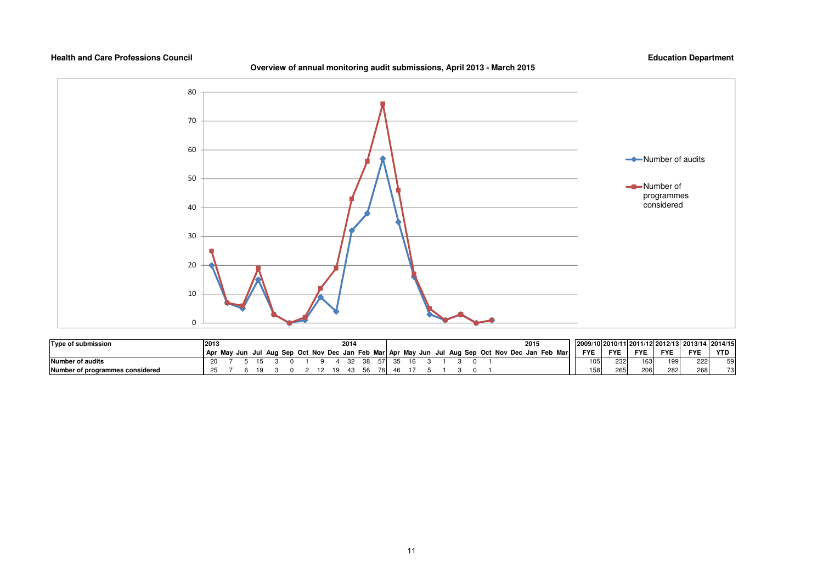#### **Overview of annual monitoring audit submissions, April 2013 - March 2015**



| Type of submission              | 2013 |  |  |  |    | 201 |  |    |  |  |  |                                                                                     | 2015         |            |            |            |            | 2009/10 2010/11 2011/12 2012/13 2013/14 2014/15 |          |
|---------------------------------|------|--|--|--|----|-----|--|----|--|--|--|-------------------------------------------------------------------------------------|--------------|------------|------------|------------|------------|-------------------------------------------------|----------|
|                                 |      |  |  |  |    |     |  |    |  |  |  | Apr May Jun Jul Aug Sep Oct Nov Dec Jan Feb Mar Apr May Jun Jul Aug Sep Oct Nov Dec | Jan Feb Marl | <b>FYE</b> | <b>FYE</b> | <b>FYE</b> | <b>FYE</b> | <b>FYE</b>                                      | YTD      |
| Number of audits                |      |  |  |  |    |     |  |    |  |  |  |                                                                                     |              |            | 232        | 163        | 199        | 222                                             | 50<br>ບບ |
| Number of programmes considered |      |  |  |  | 19 | 45  |  | 46 |  |  |  |                                                                                     |              | 158        | 265        | 206        | 282        | 268                                             | 73       |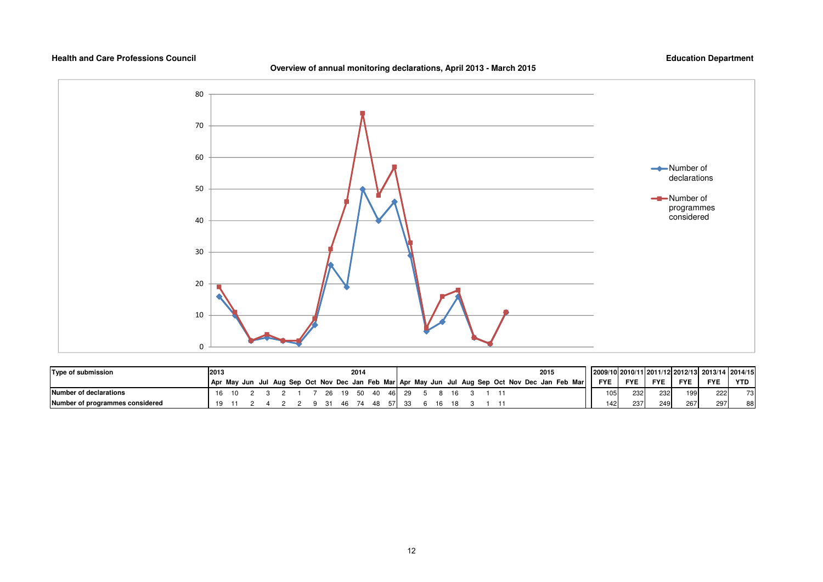#### **Overview of annual monitoring declarations, April 2013 - March 2015**



| Type of submission              |  |  |  |  | 2014 |          |       |     |  |  |  | 2015                                                                                            |            |            |            |            | 2009/1012010/1112011/1212012/131 2013/14 2014/15 |     |
|---------------------------------|--|--|--|--|------|----------|-------|-----|--|--|--|-------------------------------------------------------------------------------------------------|------------|------------|------------|------------|--------------------------------------------------|-----|
|                                 |  |  |  |  |      |          |       |     |  |  |  | Apr May Jun Jul Aug Sep Oct Nov Dec Jan Feb Mar Apr May Jun Jul Aug Sep Oct Nov Dec Jan Feb Mar | <b>FYE</b> | <b>FYE</b> | <b>FYE</b> | <b>FYE</b> | <b>FYE</b>                                       | YTD |
| Number of declarations          |  |  |  |  |      | 19 50 40 | 46 29 |     |  |  |  |                                                                                                 | 1051       | 232        | 232        | 199        | 222                                              | 73  |
| Number of programmes considered |  |  |  |  |      |          |       | -16 |  |  |  |                                                                                                 | 142        | 237        | 249        | 267        | 2971                                             | 88  |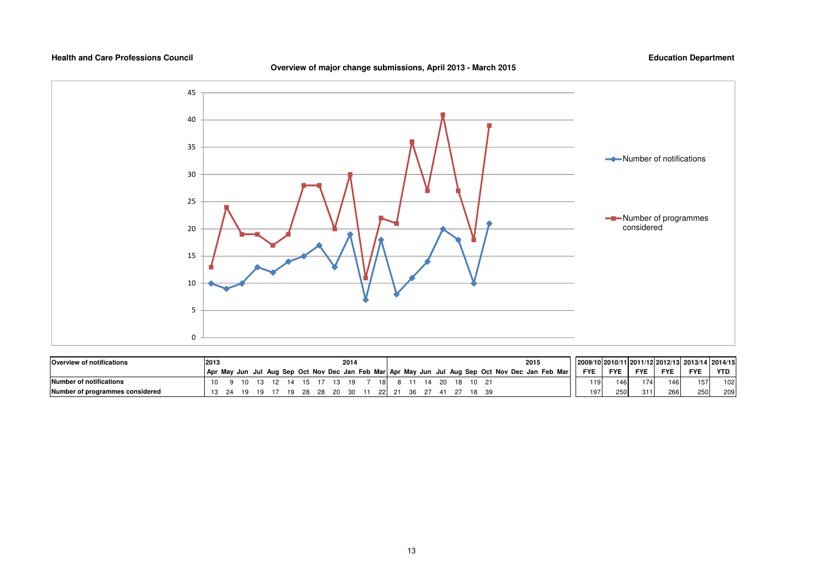

| <b>Overview of notifications</b> | 2013 |  |  |     |     |       | 2014 |       |             |  |  |  | 2015                                                                                            |            |                        |            |            | 2009/10 2010/11 2011/12 2012/13 2013/14 2014/15 |            |
|----------------------------------|------|--|--|-----|-----|-------|------|-------|-------------|--|--|--|-------------------------------------------------------------------------------------------------|------------|------------------------|------------|------------|-------------------------------------------------|------------|
|                                  |      |  |  |     |     |       |      |       |             |  |  |  | Apr May Jun Jul Aug Sep Oct Nov Dec Jan Feb Mar Apr May Jun Jul Aug Sep Oct Nov Dec Jan Feb Mar | <b>FYE</b> | <b>FYE</b>             | <b>FYE</b> | <b>FYE</b> | <b>FYE</b>                                      | <b>YTD</b> |
| Number of notifications          | 10   |  |  |     | 15. |       | - 19 | -18 I |             |  |  |  |                                                                                                 |            | 119 <sup>1</sup><br>46 | 174        | 146        | 157.                                            | 102        |
| Number of programmes considered  |      |  |  | 10. |     | 28 20 | - 30 |       | 22 21 36 27 |  |  |  |                                                                                                 |            | 250<br>197             | 311        | 266        | 250                                             | 209        |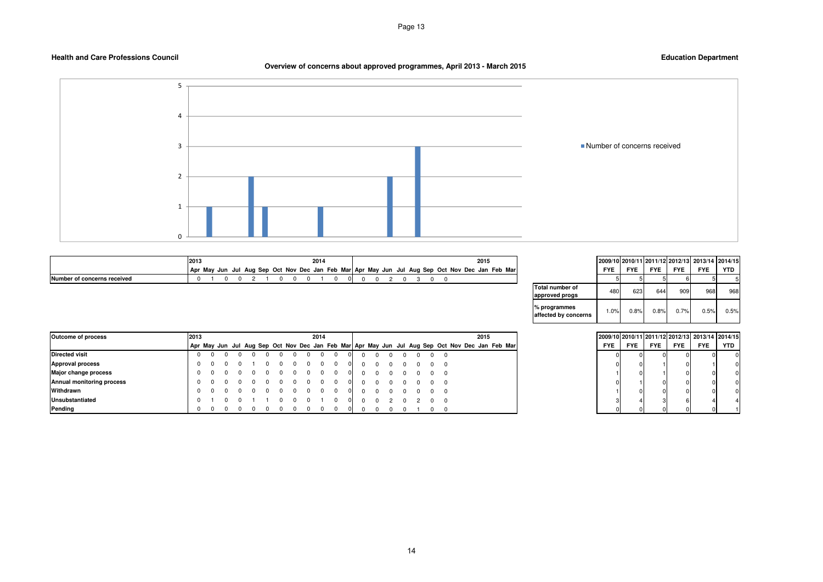**Overview of concerns about approved programmes, April 2013 - March 2015**



|                  | 2013 |  |                                                                                                 |  |  | 2014 |    |  |  |  |  | 2015 |  |
|------------------|------|--|-------------------------------------------------------------------------------------------------|--|--|------|----|--|--|--|--|------|--|
|                  |      |  | Apr May Jun Jul Aug Sep Oct Nov Dec Jan Feb Mar Apr May Jun Jul Aug Sep Oct Nov Dec Jan Feb Mar |  |  |      |    |  |  |  |  |      |  |
| oncerns received |      |  |                                                                                                 |  |  |      | ΩL |  |  |  |  |      |  |

| 2015                   |                                          |            |            |            |            | 2009/10 2010/11 2011/12 2012/13 2013/14 2014/15 |      |
|------------------------|------------------------------------------|------------|------------|------------|------------|-------------------------------------------------|------|
| t Nov Dec Jan Feb Marl |                                          | <b>FYE</b> | <b>FYE</b> | <b>FYE</b> | <b>FYE</b> | <b>FYE</b>                                      | YTD  |
|                        |                                          |            |            |            |            |                                                 |      |
|                        | <b>Total number of</b><br>approved progs | 480        | 623        | 644        | 909        | 968                                             | 968  |
|                        | % programmes<br>affected by concerns     | 1.0%       | 0.8%       | 0.8%       | 0.7%       | 0.5%                                            | 0.5% |

| <b>Outcome of process</b> | 2013<br>2014<br>2015                                                                            |            |            | 2009/10 2010/11 2011/12 2012/13 2013/14 2014/15 |            |            |     |
|---------------------------|-------------------------------------------------------------------------------------------------|------------|------------|-------------------------------------------------|------------|------------|-----|
|                           | Apr May Jun Jul Aug Sep Oct Nov Dec Jan Feb Mar Apr May Jun Jul Aug Sep Oct Nov Dec Jan Feb Mar | <b>FYE</b> | <b>FYE</b> | <b>FYE</b>                                      | <b>FYE</b> | <b>FYE</b> | YTD |
| <b>Directed visit</b>     |                                                                                                 |            |            |                                                 |            |            |     |
| <b>Approval process</b>   |                                                                                                 |            |            |                                                 |            |            |     |
| Major change process      |                                                                                                 |            |            |                                                 |            |            |     |
| Annual monitoring process |                                                                                                 |            |            |                                                 |            |            |     |
| Withdrawn                 |                                                                                                 |            |            |                                                 |            |            |     |
| <b>Unsubstantiated</b>    |                                                                                                 |            |            |                                                 |            |            |     |
| Pending                   |                                                                                                 |            |            |                                                 |            |            |     |

| 2015                  |  |
|-----------------------|--|
| t Nov Dec Jan Feb Mar |  |
|                       |  |
|                       |  |
|                       |  |
|                       |  |
|                       |  |
|                       |  |
|                       |  |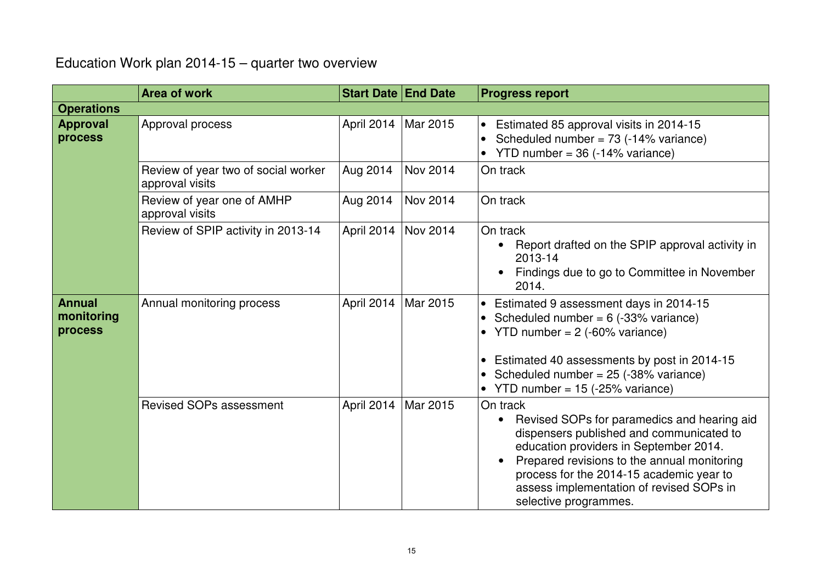## Education Work plan 2014-15 – quarter two overview

|                                        | <b>Area of work</b>                                    | <b>Start Date End Date</b> |          | <b>Progress report</b>                                                                                                                                                                                                                                                                                        |
|----------------------------------------|--------------------------------------------------------|----------------------------|----------|---------------------------------------------------------------------------------------------------------------------------------------------------------------------------------------------------------------------------------------------------------------------------------------------------------------|
| <b>Operations</b>                      |                                                        |                            |          |                                                                                                                                                                                                                                                                                                               |
| <b>Approval</b><br>process             | Approval process                                       | April 2014   Mar 2015      |          | • Estimated 85 approval visits in 2014-15<br>Scheduled number = $73$ (-14% variance)<br>YTD number = $36$ (-14% variance)                                                                                                                                                                                     |
|                                        | Review of year two of social worker<br>approval visits | Aug 2014                   | Nov 2014 | On track                                                                                                                                                                                                                                                                                                      |
|                                        | Review of year one of AMHP<br>approval visits          | Aug 2014                   | Nov 2014 | On track                                                                                                                                                                                                                                                                                                      |
|                                        | Review of SPIP activity in 2013-14                     | April 2014   Nov 2014      |          | On track<br>Report drafted on the SPIP approval activity in<br>2013-14<br>Findings due to go to Committee in November<br>2014.                                                                                                                                                                                |
| <b>Annual</b><br>monitoring<br>process | Annual monitoring process                              | April 2014                 | Mar 2015 | • Estimated 9 assessment days in 2014-15<br>Scheduled number = $6$ (-33% variance)<br>YTD number = $2$ (-60% variance)<br>• Estimated 40 assessments by post in 2014-15<br>Scheduled number = $25$ (-38% variance)<br>YTD number = $15$ (-25% variance)                                                       |
|                                        | <b>Revised SOPs assessment</b>                         | April 2014   Mar 2015      |          | On track<br>Revised SOPs for paramedics and hearing aid<br>dispensers published and communicated to<br>education providers in September 2014.<br>Prepared revisions to the annual monitoring<br>process for the 2014-15 academic year to<br>assess implementation of revised SOPs in<br>selective programmes. |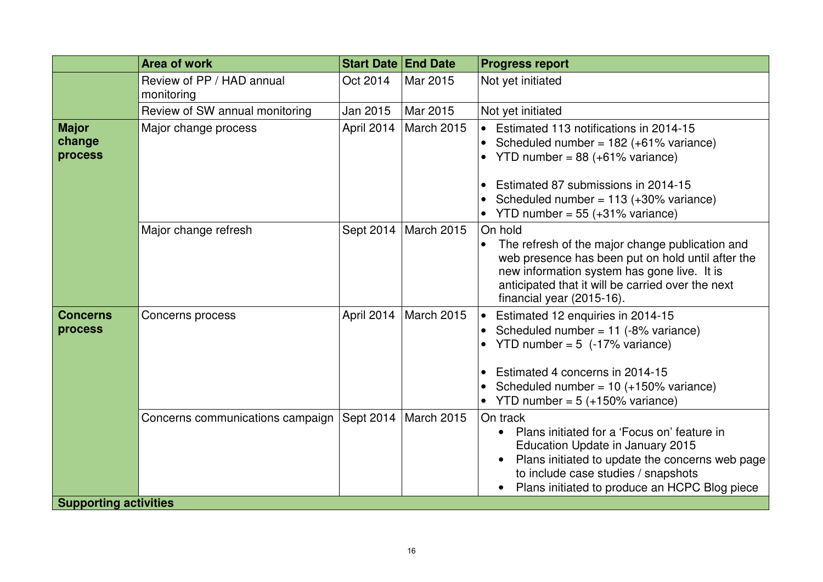|                                   | <b>Area of work</b>                     | <b>Start Date End Date</b> |            | <b>Progress report</b>                                                                                                                                                                                                                                                                    |
|-----------------------------------|-----------------------------------------|----------------------------|------------|-------------------------------------------------------------------------------------------------------------------------------------------------------------------------------------------------------------------------------------------------------------------------------------------|
|                                   | Review of PP / HAD annual<br>monitoring | Oct 2014                   | Mar 2015   | Not yet initiated                                                                                                                                                                                                                                                                         |
|                                   | Review of SW annual monitoring          | Jan 2015                   | Mar 2015   | Not yet initiated                                                                                                                                                                                                                                                                         |
| <b>Major</b><br>change<br>process | Major change process                    | April 2014                 | March 2015 | • Estimated 113 notifications in 2014-15<br>Scheduled number = $182 (+61\% \text{ variance})$<br>YTD number = $88 (+61\% \text{ variance})$<br>Estimated 87 submissions in 2014-15<br>$\bullet$<br>Scheduled number = $113 (+30\% \text{ variance})$<br>YTD number = $55$ (+31% variance) |
|                                   | Major change refresh                    | Sept 2014                  | March 2015 | On hold<br>The refresh of the major change publication and<br>$\bullet$<br>web presence has been put on hold until after the<br>new information system has gone live. It is<br>anticipated that it will be carried over the next<br>financial year (2015-16).                             |
| <b>Concerns</b><br>process        | Concerns process                        | April 2014                 | March 2015 | Estimated 12 enquiries in 2014-15<br>Scheduled number = $11$ (-8% variance)<br>YTD number = $5$ (-17% variance)<br>Estimated 4 concerns in 2014-15<br>Scheduled number = $10 (+150\% \text{ variance})$<br>• YTD number = $5$ (+150% variance)                                            |
|                                   | Concerns communications campaign        | Sept 2014                  | March 2015 | On track<br>Plans initiated for a 'Focus on' feature in<br>Education Update in January 2015<br>Plans initiated to update the concerns web page<br>to include case studies / snapshots<br>Plans initiated to produce an HCPC Blog piece                                                    |
| <b>Supporting activities</b>      |                                         |                            |            |                                                                                                                                                                                                                                                                                           |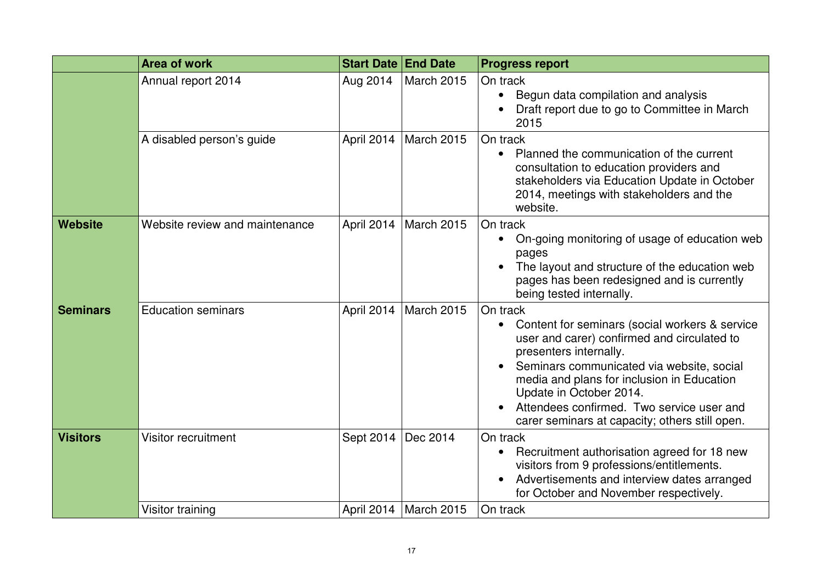|                 | <b>Area of work</b>            | <b>Start Date End Date</b> |                   | <b>Progress report</b>                                                                                                                                                                                                                                                                                                                                                |
|-----------------|--------------------------------|----------------------------|-------------------|-----------------------------------------------------------------------------------------------------------------------------------------------------------------------------------------------------------------------------------------------------------------------------------------------------------------------------------------------------------------------|
|                 | Annual report 2014             | Aug 2014                   | <b>March 2015</b> | On track<br>Begun data compilation and analysis<br>$\bullet$<br>Draft report due to go to Committee in March<br>2015                                                                                                                                                                                                                                                  |
|                 | A disabled person's guide      | April 2014                 | <b>March 2015</b> | On track<br>Planned the communication of the current<br>consultation to education providers and<br>stakeholders via Education Update in October<br>2014, meetings with stakeholders and the<br>website.                                                                                                                                                               |
| Website         | Website review and maintenance | April 2014                 | <b>March 2015</b> | On track<br>On-going monitoring of usage of education web<br>$\bullet$<br>pages<br>The layout and structure of the education web<br>pages has been redesigned and is currently<br>being tested internally.                                                                                                                                                            |
| <b>Seminars</b> | <b>Education seminars</b>      | April 2014                 | <b>March 2015</b> | On track<br>Content for seminars (social workers & service<br>$\bullet$<br>user and carer) confirmed and circulated to<br>presenters internally.<br>Seminars communicated via website, social<br>media and plans for inclusion in Education<br>Update in October 2014.<br>Attendees confirmed. Two service user and<br>carer seminars at capacity; others still open. |
| <b>Visitors</b> | Visitor recruitment            | Sept 2014                  | Dec 2014          | On track<br>Recruitment authorisation agreed for 18 new<br>visitors from 9 professions/entitlements.<br>Advertisements and interview dates arranged<br>for October and November respectively.                                                                                                                                                                         |
|                 | Visitor training               | April 2014                 | March 2015        | On track                                                                                                                                                                                                                                                                                                                                                              |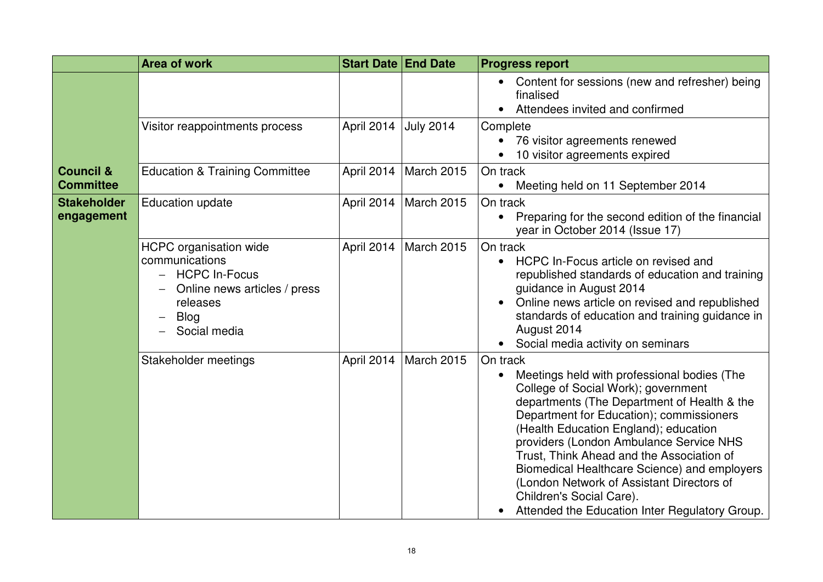|                                          | Area of work                                                                                                                                                                   | <b>Start Date End Date</b> |                   | <b>Progress report</b>                                                                                                                                                                                                                                                                                                                                                                                                                                                                                             |
|------------------------------------------|--------------------------------------------------------------------------------------------------------------------------------------------------------------------------------|----------------------------|-------------------|--------------------------------------------------------------------------------------------------------------------------------------------------------------------------------------------------------------------------------------------------------------------------------------------------------------------------------------------------------------------------------------------------------------------------------------------------------------------------------------------------------------------|
|                                          |                                                                                                                                                                                |                            |                   | Content for sessions (new and refresher) being<br>finalised<br>Attendees invited and confirmed                                                                                                                                                                                                                                                                                                                                                                                                                     |
|                                          | Visitor reappointments process                                                                                                                                                 | April 2014                 | <b>July 2014</b>  | Complete<br>76 visitor agreements renewed<br>10 visitor agreements expired                                                                                                                                                                                                                                                                                                                                                                                                                                         |
| <b>Council &amp;</b><br><b>Committee</b> | <b>Education &amp; Training Committee</b>                                                                                                                                      | April 2014                 | <b>March 2015</b> | On track<br>Meeting held on 11 September 2014                                                                                                                                                                                                                                                                                                                                                                                                                                                                      |
| <b>Stakeholder</b><br>engagement         | <b>Education update</b>                                                                                                                                                        | April 2014                 | March 2015        | On track<br>Preparing for the second edition of the financial<br>year in October 2014 (Issue 17)                                                                                                                                                                                                                                                                                                                                                                                                                   |
|                                          | <b>HCPC</b> organisation wide<br>communications<br><b>HCPC In-Focus</b><br>$\overline{\phantom{0}}$<br>Online news articles / press<br>releases<br><b>Blog</b><br>Social media | April 2014                 | March 2015        | On track<br>HCPC In-Focus article on revised and<br>$\bullet$<br>republished standards of education and training<br>guidance in August 2014<br>Online news article on revised and republished<br>standards of education and training guidance in<br>August 2014<br>Social media activity on seminars<br>$\bullet$                                                                                                                                                                                                  |
|                                          | Stakeholder meetings                                                                                                                                                           | April 2014                 | <b>March 2015</b> | On track<br>Meetings held with professional bodies (The<br>$\bullet$<br>College of Social Work); government<br>departments (The Department of Health & the<br>Department for Education); commissioners<br>(Health Education England); education<br>providers (London Ambulance Service NHS<br>Trust, Think Ahead and the Association of<br>Biomedical Healthcare Science) and employers<br>(London Network of Assistant Directors of<br>Children's Social Care).<br>Attended the Education Inter Regulatory Group. |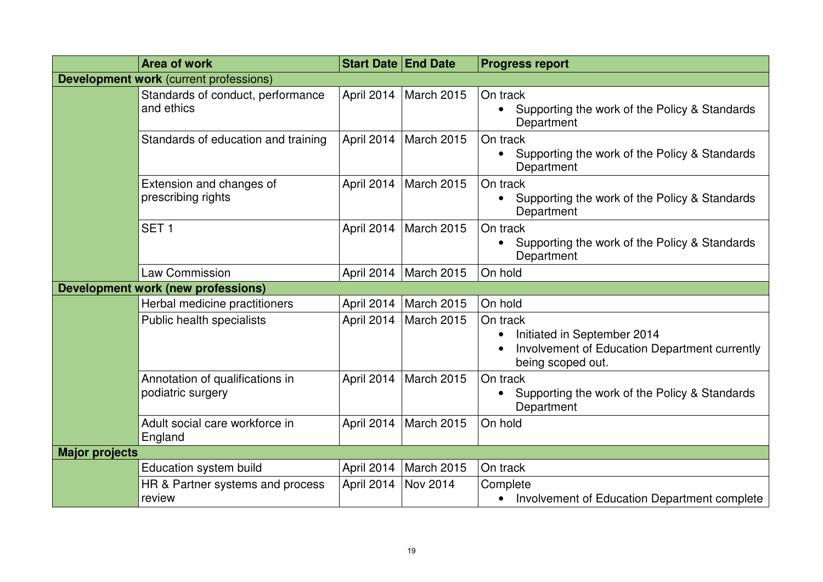|                                           | <b>Area of work</b>                                  | <b>Start Date End Date</b> |                   | <b>Progress report</b>                                                                                        |  |  |
|-------------------------------------------|------------------------------------------------------|----------------------------|-------------------|---------------------------------------------------------------------------------------------------------------|--|--|
|                                           | <b>Development work (current professions)</b>        |                            |                   |                                                                                                               |  |  |
|                                           | Standards of conduct, performance<br>and ethics      | April 2014                 | <b>March 2015</b> | On track<br>Supporting the work of the Policy & Standards<br>Department                                       |  |  |
|                                           | Standards of education and training                  | April 2014                 | <b>March 2015</b> | On track<br>Supporting the work of the Policy & Standards<br>Department                                       |  |  |
|                                           | Extension and changes of<br>prescribing rights       | April 2014                 | <b>March 2015</b> | On track<br>Supporting the work of the Policy & Standards<br>$\bullet$<br>Department                          |  |  |
|                                           | SET <sub>1</sub>                                     | April 2014                 | <b>March 2015</b> | On track<br>Supporting the work of the Policy & Standards<br>Department                                       |  |  |
|                                           | <b>Law Commission</b>                                | April 2014                 | <b>March 2015</b> | On hold                                                                                                       |  |  |
| <b>Development work (new professions)</b> |                                                      |                            |                   |                                                                                                               |  |  |
|                                           | Herbal medicine practitioners                        | April 2014                 | March 2015        | On hold                                                                                                       |  |  |
|                                           | Public health specialists                            | April 2014                 | <b>March 2015</b> | On track<br>Initiated in September 2014<br>Involvement of Education Department currently<br>being scoped out. |  |  |
|                                           | Annotation of qualifications in<br>podiatric surgery | April 2014                 | March 2015        | On track<br>Supporting the work of the Policy & Standards<br>Department                                       |  |  |
|                                           | Adult social care workforce in<br>England            | April 2014                 | March 2015        | On hold                                                                                                       |  |  |
| <b>Major projects</b>                     |                                                      |                            |                   |                                                                                                               |  |  |
|                                           | Education system build                               | April 2014                 | <b>March 2015</b> | On track                                                                                                      |  |  |
|                                           | HR & Partner systems and process<br>review           | April 2014                 | Nov 2014          | Complete<br>Involvement of Education Department complete                                                      |  |  |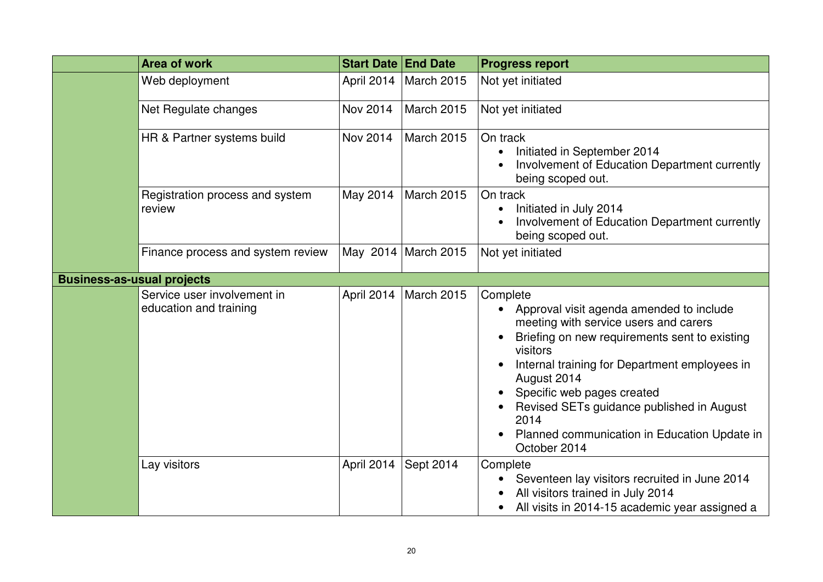| Area of work                                          | <b>Start Date End Date</b> |                   | <b>Progress report</b>                                                                                                                                                                                                                                                                                                                                                        |
|-------------------------------------------------------|----------------------------|-------------------|-------------------------------------------------------------------------------------------------------------------------------------------------------------------------------------------------------------------------------------------------------------------------------------------------------------------------------------------------------------------------------|
| Web deployment                                        | April 2014                 | <b>March 2015</b> | Not yet initiated                                                                                                                                                                                                                                                                                                                                                             |
| Net Regulate changes                                  | Nov 2014                   | <b>March 2015</b> | Not yet initiated                                                                                                                                                                                                                                                                                                                                                             |
| HR & Partner systems build                            | Nov 2014                   | <b>March 2015</b> | On track<br>Initiated in September 2014<br>Involvement of Education Department currently<br>being scoped out.                                                                                                                                                                                                                                                                 |
| Registration process and system<br>review             | May 2014                   | <b>March 2015</b> | On track<br>Initiated in July 2014<br>Involvement of Education Department currently<br>being scoped out.                                                                                                                                                                                                                                                                      |
| Finance process and system review                     | May 2014                   | March 2015        | Not yet initiated                                                                                                                                                                                                                                                                                                                                                             |
| <b>Business-as-usual projects</b>                     |                            |                   |                                                                                                                                                                                                                                                                                                                                                                               |
| Service user involvement in<br>education and training | April 2014                 | March 2015        | Complete<br>Approval visit agenda amended to include<br>meeting with service users and carers<br>Briefing on new requirements sent to existing<br>visitors<br>Internal training for Department employees in<br>August 2014<br>Specific web pages created<br>Revised SETs guidance published in August<br>2014<br>Planned communication in Education Update in<br>October 2014 |
| Lay visitors                                          | April 2014                 | Sept 2014         | Complete<br>Seventeen lay visitors recruited in June 2014<br>All visitors trained in July 2014<br>All visits in 2014-15 academic year assigned a                                                                                                                                                                                                                              |